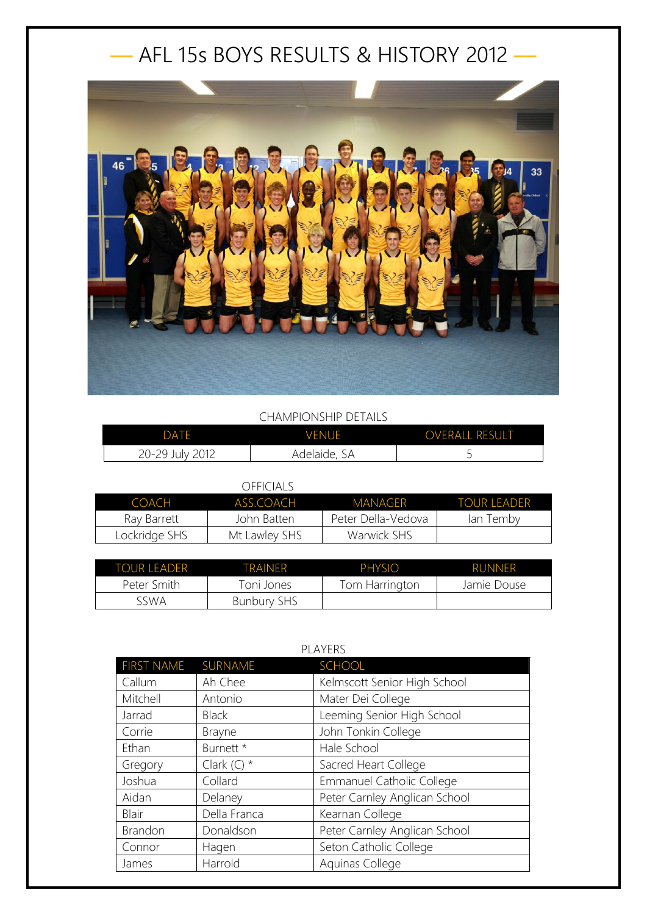## — AFL 15s BOYS RESULTS & HISTORY 2012 —



## CHAMPIONSHIP DETAILS

| DATF            | <b>VENUE</b> | <b>OVERALL RESULT</b> |
|-----------------|--------------|-----------------------|
| 20-29 July 2012 | Adelaide, SA | ۔                     |

## OFFICIALS

| COACH         | ASS COACH     | MANAGER            | <b>TOUR LEADER</b> |
|---------------|---------------|--------------------|--------------------|
| Ray Barrett   | John Batten   | Peter Della-Vedova | lan Temby          |
| Lockridge SHS | Mt Lawley SHS | Warwick SHS        |                    |

| TOUR LEADER | TRAINFR            | PHYSIO         | <b>RUNNER</b> |
|-------------|--------------------|----------------|---------------|
| Peter Smith | Toni Jones         | Tom Harrington | Jamie Douse   |
| sswa        | <b>Bunbury SHS</b> |                |               |

| PLAYERS           |               |                                  |
|-------------------|---------------|----------------------------------|
| <b>FIRST NAME</b> | SURNAME       | SCHOOL                           |
| Callum            | Ah Chee       | Kelmscott Senior High School     |
| Mitchell          | Antonio       | Mater Dei College                |
| Jarrad            | <b>Black</b>  | Leeming Senior High School       |
| Corrie            | <b>Brayne</b> | John Tonkin College              |
| Ethan             | Burnett *     | Hale School                      |
| Gregory           | Clark $(C)$ * | Sacred Heart College             |
| Joshua            | Collard       | <b>Emmanuel Catholic College</b> |
| Aidan             | Delaney       | Peter Carnley Anglican School    |
| Blair             | Della Franca  | Kearnan College                  |
| Brandon           | Donaldson     | Peter Carnley Anglican School    |
| Connor            | Hagen         | Seton Catholic College           |
| James             | Harrold       | Aquinas College                  |